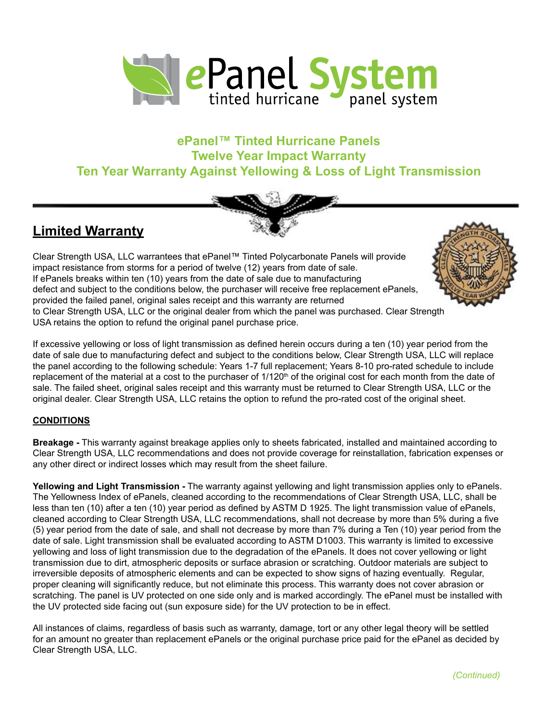

## **ePanel™ Tinted Hurricane Panels Twelve Year Impact Warranty Ten Year Warranty Against Yellowing & Loss of Light Transmission**



## **Limited Warranty**

Clear Strength USA, LLC warrantees that ePanel™ Tinted Polycarbonate Panels will provide impact resistance from storms for a period of twelve (12) years from date of sale. If ePanels breaks within ten (10) years from the date of sale due to manufacturing defect and subject to the conditions below, the purchaser will receive free replacement ePanels, provided the failed panel, original sales receipt and this warranty are returned to Clear Strength USA, LLC or the original dealer from which the panel was purchased. Clear Strength USA retains the option to refund the original panel purchase price.

If excessive yellowing or loss of light transmission as defined herein occurs during a ten (10) year period from the date of sale due to manufacturing defect and subject to the conditions below, Clear Strength USA, LLC will replace the panel according to the following schedule: Years 1-7 full replacement; Years 8-10 pro-rated schedule to include replacement of the material at a cost to the purchaser of  $1/120<sup>th</sup>$  of the original cost for each month from the date of sale. The failed sheet, original sales receipt and this warranty must be returned to Clear Strength USA, LLC or the original dealer. Clear Strength USA, LLC retains the option to refund the pro-rated cost of the original sheet.

## **CONDITIONS**

**Breakage -** This warranty against breakage applies only to sheets fabricated, installed and maintained according to Clear Strength USA, LLC recommendations and does not provide coverage for reinstallation, fabrication expenses or any other direct or indirect losses which may result from the sheet failure.

**Yellowing and Light Transmission -** The warranty against yellowing and light transmission applies only to ePanels. The Yellowness Index of ePanels, cleaned according to the recommendations of Clear Strength USA, LLC, shall be less than ten (10) after a ten (10) year period as defined by ASTM D 1925. The light transmission value of ePanels, cleaned according to Clear Strength USA, LLC recommendations, shall not decrease by more than 5% during a five (5) year period from the date of sale, and shall not decrease by more than 7% during a Ten (10) year period from the date of sale. Light transmission shall be evaluated according to ASTM D1003. This warranty is limited to excessive yellowing and loss of light transmission due to the degradation of the ePanels. It does not cover yellowing or light transmission due to dirt, atmospheric deposits or surface abrasion or scratching. Outdoor materials are subject to irreversible deposits of atmospheric elements and can be expected to show signs of hazing eventually. Regular, proper cleaning will significantly reduce, but not eliminate this process. This warranty does not cover abrasion or scratching. The panel is UV protected on one side only and is marked accordingly. The ePanel must be installed with the UV protected side facing out (sun exposure side) for the UV protection to be in effect.

All instances of claims, regardless of basis such as warranty, damage, tort or any other legal theory will be settled for an amount no greater than replacement ePanels or the original purchase price paid for the ePanel as decided by Clear Strength USA, LLC.